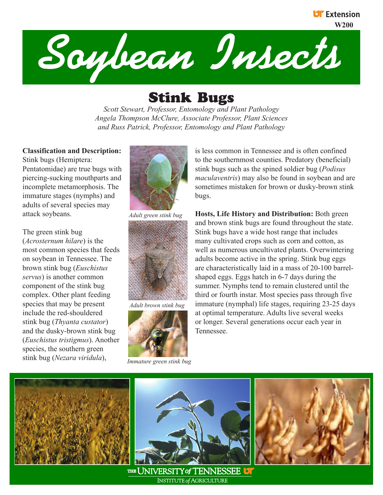

# Stink Bugs

*Scott Stewart, Professor, Entomology and Plant Pathology Angela Thompson McClure, Associate Professor, Plant Sciences and Russ Patrick, Professor, Entomology and Plant Pathology*

## **Classification and Description:**

Stink bugs (Hemiptera: Pentatomidae) are true bugs with piercing-sucking mouthparts and incomplete metamorphosis. The immature stages (nymphs) and adults of several species may attack soybeans.

The green stink bug (*Acrosternum hilare*) is the most common species that feeds on soybean in Tennessee. The brown stink bug (*Euschistus servus*) is another common component of the stink bug complex. Other plant feeding species that may be present include the red-shouldered stink bug (*Thyanta custator*) and the dusky-brown stink bug (*Euschistus tristigmus*). Another species, the southern green stink bug (*Nezara viridula*),



*Adult green stink bug*



*Adult brown stink bug*



*Immature green stink bug*

is less common in Tennessee and is often confined to the southernmost counties. Predatory (beneficial) stink bugs such as the spined soldier bug (*Podisus maculaventris*) may also be found in soybean and are sometimes mistaken for brown or dusky-brown stink bugs.

**UF** Extension

**Hosts, Life History and Distribution:** Both green and brown stink bugs are found throughout the state. Stink bugs have a wide host range that includes many cultivated crops such as corn and cotton, as well as numerous uncultivated plants. Overwintering adults become active in the spring. Stink bug eggs are characteristically laid in a mass of 20-100 barrelshaped eggs. Eggs hatch in 6-7 days during the summer. Nymphs tend to remain clustered until the third or fourth instar. Most species pass through five immature (nymphal) life stages, requiring 23-25 days at optimal temperature. Adults live several weeks or longer. Several generations occur each year in Tennessee.





THE UNIVERSITY of TENNESSEE UT **INSTITUTE of AGRICULTURE**